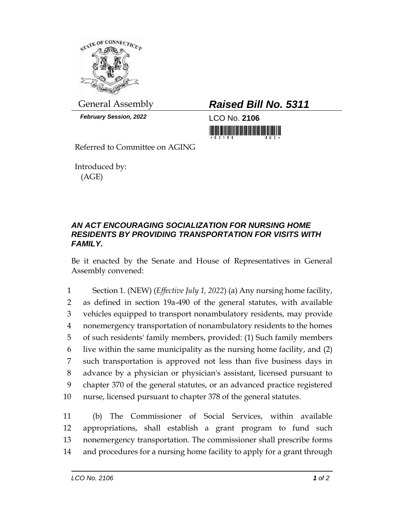

*February Session, 2022* LCO No. **2106**

Referred to Committee on AGING

Introduced by: (AGE)

## General Assembly *Raised Bill No. 5311*

<u> III di kacamatan ing Kabupatèn III di Kabupatèn III di Kabupatèn III di Kabupatèn III di Kabupatèn III di Ka</u>

## *AN ACT ENCOURAGING SOCIALIZATION FOR NURSING HOME RESIDENTS BY PROVIDING TRANSPORTATION FOR VISITS WITH FAMILY.*

Be it enacted by the Senate and House of Representatives in General Assembly convened:

 Section 1. (NEW) (*Effective July 1, 2022*) (a) Any nursing home facility, as defined in section 19a-490 of the general statutes, with available vehicles equipped to transport nonambulatory residents, may provide nonemergency transportation of nonambulatory residents to the homes of such residents' family members, provided: (1) Such family members live within the same municipality as the nursing home facility, and (2) such transportation is approved not less than five business days in advance by a physician or physician's assistant, licensed pursuant to chapter 370 of the general statutes, or an advanced practice registered nurse, licensed pursuant to chapter 378 of the general statutes.

 (b) The Commissioner of Social Services, within available appropriations, shall establish a grant program to fund such nonemergency transportation. The commissioner shall prescribe forms and procedures for a nursing home facility to apply for a grant through